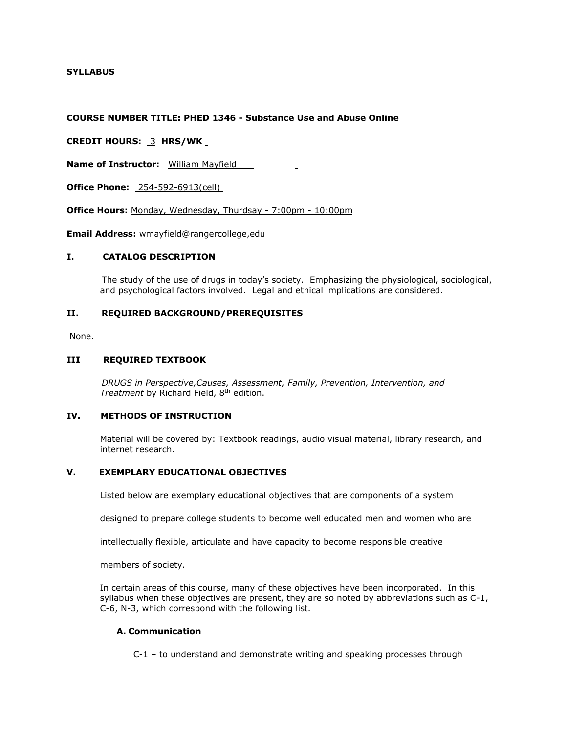# **SYLLABUS**

#### **COURSE NUMBER TITLE: PHED 1346 - Substance Use and Abuse Online**

**CREDIT HOURS:** 3 **HRS/WK**

**Name of Instructor:** William Mayfield

**Office Phone:** 254-592-6913(cell)

**Office Hours:** Monday, Wednesday, Thurdsay - 7:00pm - 10:00pm

**Email Address:** wmayfield@rangercollege,edu

#### **I. CATALOG DESCRIPTION**

 The study of the use of drugs in today's society. Emphasizing the physiological, sociological, and psychological factors involved. Legal and ethical implications are considered.

### **II. REQUIRED BACKGROUND/PREREQUISITES**

None.

#### **III REQUIRED TEXTBOOK**

 *DRUGS in Perspective,Causes, Assessment, Family, Prevention, Intervention, and Treatment* by Richard Field, 8th edition.

## **IV. METHODS OF INSTRUCTION**

Material will be covered by: Textbook readings, audio visual material, library research, and internet research.

## **V. EXEMPLARY EDUCATIONAL OBJECTIVES**

Listed below are exemplary educational objectives that are components of a system

designed to prepare college students to become well educated men and women who are

intellectually flexible, articulate and have capacity to become responsible creative

members of society.

In certain areas of this course, many of these objectives have been incorporated. In this syllabus when these objectives are present, they are so noted by abbreviations such as C-1, C-6, N-3, which correspond with the following list.

### **A. Communication**

C-1 – to understand and demonstrate writing and speaking processes through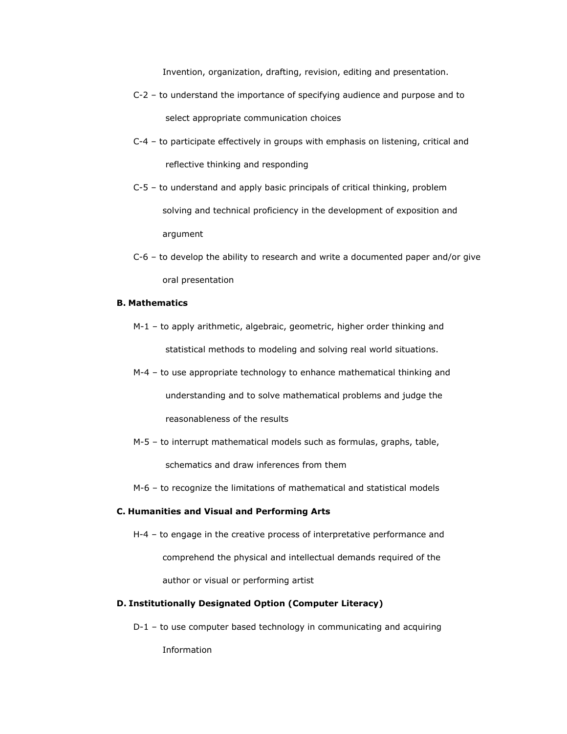Invention, organization, drafting, revision, editing and presentation.

- C-2 to understand the importance of specifying audience and purpose and to select appropriate communication choices
- C-4 to participate effectively in groups with emphasis on listening, critical and reflective thinking and responding
- C-5 to understand and apply basic principals of critical thinking, problem solving and technical proficiency in the development of exposition and argument
- $C-6$  to develop the ability to research and write a documented paper and/or give oral presentation

## **B. Mathematics**

- M-1 to apply arithmetic, algebraic, geometric, higher order thinking and statistical methods to modeling and solving real world situations.
- M-4 to use appropriate technology to enhance mathematical thinking and understanding and to solve mathematical problems and judge the reasonableness of the results
- M-5 to interrupt mathematical models such as formulas, graphs, table, schematics and draw inferences from them
- M-6 to recognize the limitations of mathematical and statistical models

### **C. Humanities and Visual and Performing Arts**

H-4 – to engage in the creative process of interpretative performance and comprehend the physical and intellectual demands required of the author or visual or performing artist

# **D. Institutionally Designated Option (Computer Literacy)**

D-1 – to use computer based technology in communicating and acquiring

Information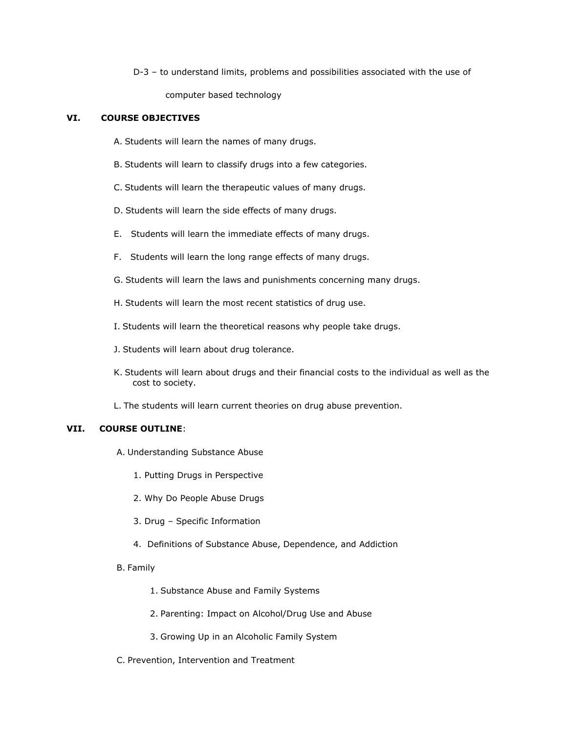D-3 – to understand limits, problems and possibilities associated with the use of computer based technology

## **VI. COURSE OBJECTIVES**

- A. Students will learn the names of many drugs.
- B. Students will learn to classify drugs into a few categories.
- C. Students will learn the therapeutic values of many drugs.
- D. Students will learn the side effects of many drugs.
- E. Students will learn the immediate effects of many drugs.
- F. Students will learn the long range effects of many drugs.
- G. Students will learn the laws and punishments concerning many drugs.
- H. Students will learn the most recent statistics of drug use.
- I. Students will learn the theoretical reasons why people take drugs.
- J. Students will learn about drug tolerance.
- K. Students will learn about drugs and their financial costs to the individual as well as the cost to society.
- L. The students will learn current theories on drug abuse prevention.

# **VII. COURSE OUTLINE**:

- A. Understanding Substance Abuse
	- 1. Putting Drugs in Perspective
	- 2. Why Do People Abuse Drugs
	- 3. Drug Specific Information
	- 4. Definitions of Substance Abuse, Dependence, and Addiction
- B. Family
	- 1. Substance Abuse and Family Systems
	- 2. Parenting: Impact on Alcohol/Drug Use and Abuse
	- 3. Growing Up in an Alcoholic Family System
- C. Prevention, Intervention and Treatment